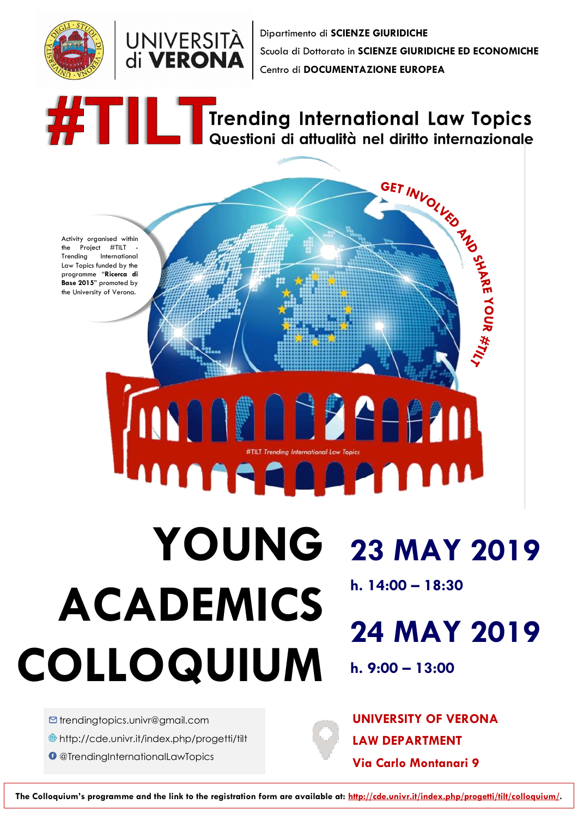



Dipartimento di **SCIENZE GIURIDICHE** Scuola di Dottorato in **SCIENZE GIURIDICHE ED ECONOMICHE** Centro di **DOCUMENTAZIONE EUROPEA**

## **ALLE Trending International Law Topics** Questioni di attualità nel diritto internazionale

<http://cde.univr.it/index.php/progetti/tilt>

**O** [@TrendingInternationalLawTopics](https://www.facebook.com/pg/TrendingInternationalLawTopics/posts/?ref=page_internal)



## **COLLOQUIUM 24 MAY 2019 h. 9:00 – 13:00**

 $\blacksquare$  trendingtopics.univr@gmail.com

**[U](https://www.google.it/url?sa=i&rct=j&q=&esrc=s&source=images&cd=&cad=rja&uact=8&ved=2ahUKEwiA2bLB_t3gAhXJwKQKHSxXA1oQjRx6BAgBEAU&url=https://it.fotolia.com/tag/luogo&psig=AOvVaw3JZma5_EOa8YH2-5lTiGYv&ust=1551428184121553)NIVERSITY OF VERONA LAW DEPARTMENT Via Carlo Montanari 9**

**The Colloquium's programme and the link to the registration form are available at: [http://cde.univr.it/index.php/progetti/tilt/colloquium/.](http://cde.univr.it/index.php/progetti/tilt/colloquium/)**